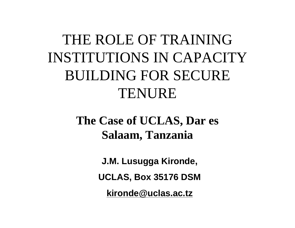#### THE ROLE OF TRAINING INSTITUTIONS IN CAPACITY BUILDING FOR SECURE TENURE

#### **The Case of UCLAS, Dar es Salaam, Tanzania**

**J.M. Lusugga Kironde,**

**UCLAS, Box 35176 DSM**

**[kironde@uclas.ac.tz](mailto:kironde@uclas.ac.tz)**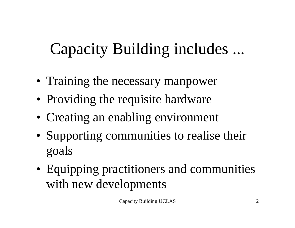## Capacity Building includes ...

- Training the necessary manpower
- Providing the requisite hardware
- Creating an enabling environment
- Supporting communities to realise their goals
- Equipping practitioners and communities with new developments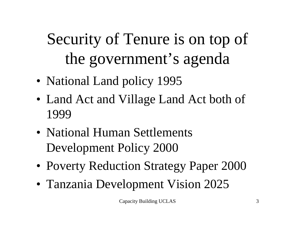# Security of Tenure is on top of the government's agenda

- National Land policy 1995
- Land Act and Village Land Act both of 1999
- National Human Settlements Development Policy 2000
- Poverty Reduction Strategy Paper 2000
- Tanzania Development Vision 2025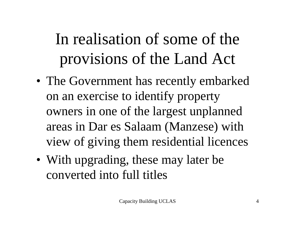## In realisation of some of the provisions of the Land Act

- The Government has recently embarked on an exercise to identify property owners in one of the largest unplanned areas in Dar es Salaam (Manzese) with view of giving them residential licences
- With upgrading, these may later be converted into full titles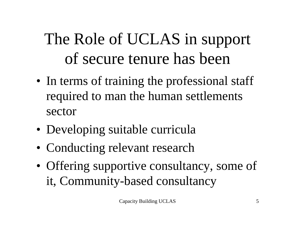## The Role of UCLAS in support of secure tenure has been

- In terms of training the professional staff required to man the human settlements sector
- Developing suitable curricula
- Conducting relevant research
- Offering supportive consultancy, some of it, Community-based consultancy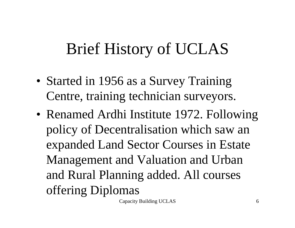## Brief History of UCLAS

- Started in 1956 as a Survey Training Centre, training technician surveyors.
- Renamed Ardhi Institute 1972. Following policy of Decentralisation which saw an expanded Land Sector Courses in Estate Management and Valuation and Urban and Rural Planning added. All courses offering Diplomas

Capacity Building UCLAS 6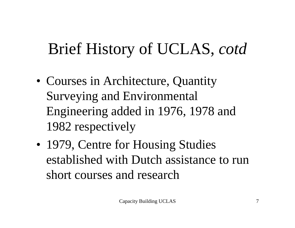## Brief History of UCLAS, *cotd*

- Courses in Architecture, Quantity Surveying and Environmental Engineering added in 1976, 1978 and 1982 respectively
- 1979, Centre for Housing Studies established with Dutch assistance to run short courses and research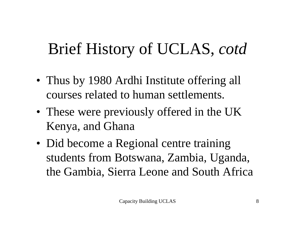## Brief History of UCLAS, *cotd*

- Thus by 1980 Ardhi Institute offering all courses related to human settlements.
- These were previously offered in the UK Kenya, and Ghana
- Did become a Regional centre training students from Botswana, Zambia, Uganda, the Gambia, Sierra Leone and South Africa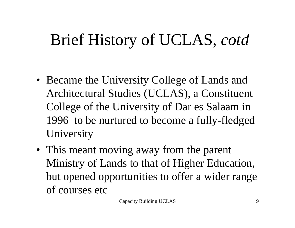## Brief History of UCLAS, *cotd*

- Became the University College of Lands and Architectural Studies (UCLAS), a Constituent College of the University of Dar es Salaam in 1996 to be nurtured to become a fully-fledged University
- This meant moving away from the parent Ministry of Lands to that of Higher Education, but opened opportunities to offer a wider range of courses etc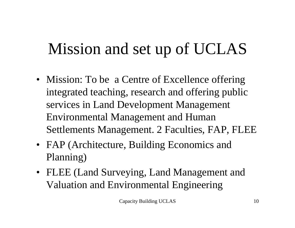## Mission and set up of UCLAS

- Mission: To be a Centre of Excellence offering integrated teaching, research and offering public services in Land Development Management Environmental Management and Human Settlements Management. 2 Faculties, FAP, FLEE
- FAP (Architecture, Building Economics and Planning)
- FLEE (Land Surveying, Land Management and Valuation and Environmental Engineering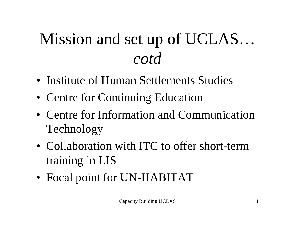## Mission and set up of UCLAS… *cotd*

- Institute of Human Settlements Studies
- Centre for Continuing Education
- Centre for Information and Communication Technology
- Collaboration with ITC to offer short-term training in LIS
- Focal point for UN-HABITAT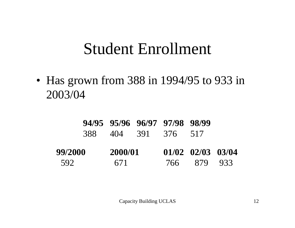#### Student Enrollment

• Has grown from 388 in 1994/95 to 933 in 2003/04

|         |     |         |  | 94/95 95/96 96/97 97/98 98/99 |                   |  |
|---------|-----|---------|--|-------------------------------|-------------------|--|
|         | 388 |         |  | 404 391 376 517               |                   |  |
| 99/2000 |     | 2000/01 |  |                               | 01/02 02/03 03/04 |  |
| 592     |     | 671     |  | 766 -                         | 879 933           |  |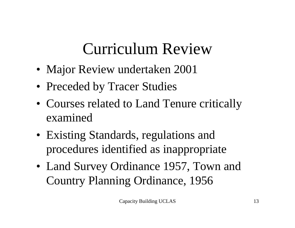## Curriculum Review

- Major Review undertaken 2001
- Preceded by Tracer Studies
- Courses related to Land Tenure critically examined
- Existing Standards, regulations and procedures identified as inappropriate
- Land Survey Ordinance 1957, Town and Country Planning Ordinance, 1956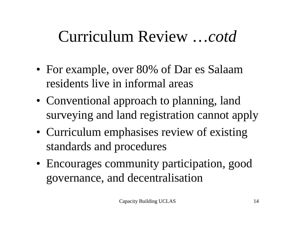## Curriculum Review …*cotd*

- For example, over 80% of Dar es Salaam residents live in informal areas
- Conventional approach to planning, land surveying and land registration cannot apply
- Curriculum emphasises review of existing standards and procedures
- Encourages community participation, good governance, and decentralisation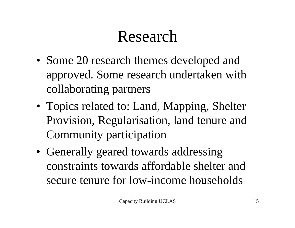## Research

- Some 20 research themes developed and approved. Some research undertaken with collaborating partners
- Topics related to: Land, Mapping, Shelter Provision, Regularisation, land tenure and Community participation
- Generally geared towards addressing constraints towards affordable shelter and secure tenure for low-income households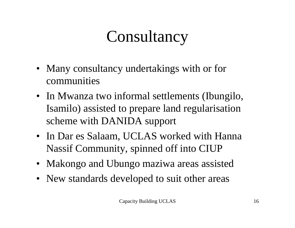## **Consultancy**

- Many consultancy undertakings with or for communities
- In Mwanza two informal settlements (Ibungilo, Isamilo) assisted to prepare land regularisation scheme with DANIDA support
- In Dar es Salaam, UCLAS worked with Hanna Nassif Community, spinned off into CIUP
- Makongo and Ubungo maziwa areas assisted
- New standards developed to suit other areas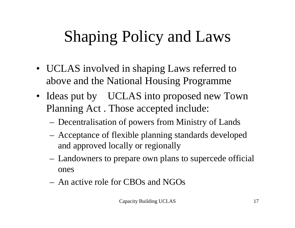## Shaping Policy and Laws

- UCLAS involved in shaping Laws referred to above and the National Housing Programme
- Ideas put by UCLAS into proposed new Town Planning Act . Those accepted include:
	- Decentralisation of powers from Ministry of Lands
	- Acceptance of flexible planning standards developed and approved locally or regionally
	- Landowners to prepare own plans to supercede official ones
	- An active role for CBOs and NGOs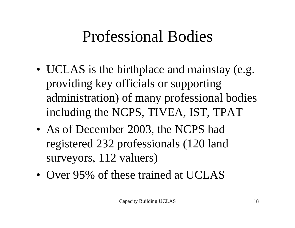## Professional Bodies

- UCLAS is the birthplace and mainstay (e.g. providing key officials or supporting administration) of many professional bodies including the NCPS, TIVEA, IST, TPAT
- As of December 2003, the NCPS had registered 232 professionals (120 land surveyors, 112 valuers)
- Over 95% of these trained at UCLAS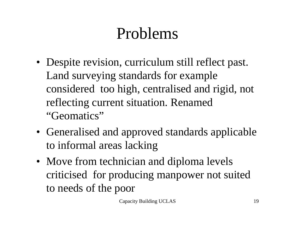## Problems

- Despite revision, curriculum still reflect past. Land surveying standards for example considered too high, centralised and rigid, not reflecting current situation. Renamed "Geomatics"
- Generalised and approved standards applicable to informal areas lacking
- Move from technician and diploma levels criticised for producing manpower not suited to needs of the poor

Capacity Building UCLAS 19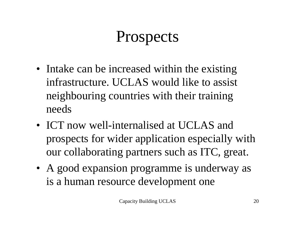## Prospects

- Intake can be increased within the existing infrastructure. UCLAS would like to assist neighbouring countries with their training needs
- ICT now well-internalised at UCLAS and prospects for wider application especially with our collaborating partners such as ITC, great.
- A good expansion programme is underway as is a human resource development one